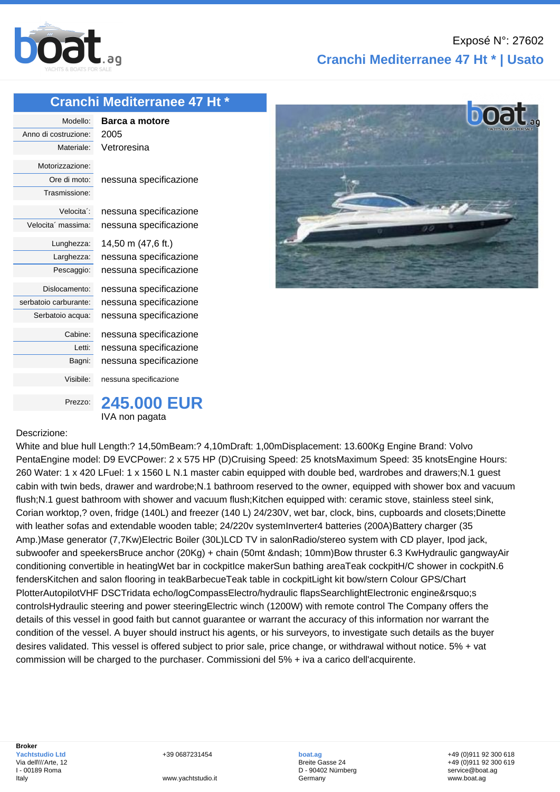

## **Cranchi Mediterranee 47 Ht \* | Usato**

## **[Cranchi Med](http://www.boat.ag/)iterranee 47 Ht \***

Modello: **Barca a motore** Anno di costruzione: 2005 Materiale: Vetroresina Motorizzazione: Trasmissione: Velocita´ massima: nessuna specificazione Lunghezza: 14,50 m (47,6 ft.) serbatoio carburante: nessuna specificazione Visibile: nessuna specificazione

Ore di moto: nessuna specificazione

Velocita´: nessuna specificazione

Larghezza: nessuna specificazione Pescaggio: nessuna specificazione

Dislocamento: nessuna specificazione Serbatoio acqua: nessuna specificazione

> Cabine: nessuna specificazione Letti: nessuna specificazione Bagni: nessuna specificazione



## Descrizione:

White and blue hull Length:? 14,50mBeam:? 4,10mDraft: 1,00mDisplacement: 13.600Kg Engine Brand: Volvo PentaEngine model: D9 EVCPower: 2 x 575 HP (D)Cruising Speed: 25 knotsMaximum Speed: 35 knotsEngine Hours: 260 Water: 1 x 420 LFuel: 1 x 1560 L N.1 master cabin equipped with double bed, wardrobes and drawers;N.1 guest cabin with twin beds, drawer and wardrobe;N.1 bathroom reserved to the owner, equipped with shower box and vacuum flush;N.1 guest bathroom with shower and vacuum flush;Kitchen equipped with: ceramic stove, stainless steel sink, Corian worktop,? oven, fridge (140L) and freezer (140 L) 24/230V, wet bar, clock, bins, cupboards and closets;Dinette with leather sofas and extendable wooden table; 24/220v systemInverter4 batteries (200A)Battery charger (35 Amp.)Mase generator (7,7Kw)Electric Boiler (30L)LCD TV in salonRadio/stereo system with CD player, Ipod jack, subwoofer and speekersBruce anchor (20Kg) + chain (50mt – 10mm)Bow thruster 6.3 KwHydraulic gangwayAir conditioning convertible in heatingWet bar in cockpitIce makerSun bathing areaTeak cockpitH/C shower in cockpitN.6 fendersKitchen and salon flooring in teakBarbecueTeak table in cockpitLight kit bow/stern Colour GPS/Chart PlotterAutopilotVHF DSCTridata echo/logCompassElectro/hydraulic flapsSearchlightElectronic engine's controlsHydraulic steering and power steeringElectric winch (1200W) with remote control The Company offers the details of this vessel in good faith but cannot guarantee or warrant the accuracy of this information nor warrant the condition of the vessel. A buyer should instruct his agents, or his surveyors, to investigate such details as the buyer desires validated. This vessel is offered subject to prior sale, price change, or withdrawal without notice. 5% + vat commission will be charged to the purchaser. Commissioni del 5% + iva a carico dell'acquirente.

+39 0687231454

**boat.ag** Breite Gasse 24 D - 90402 Nürnberg Germany

+49 (0)911 92 300 618 +49 (0)911 92 300 619 service@boat.ag www.boat.ag

www.yachtstudio.it